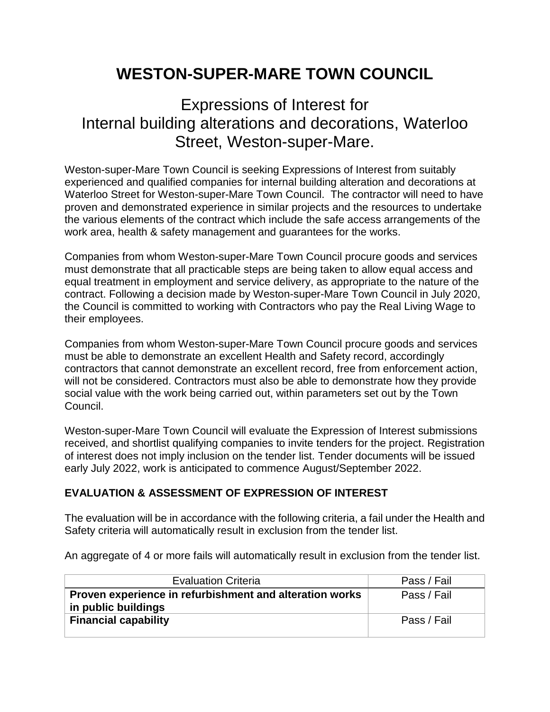## **WESTON-SUPER-MARE TOWN COUNCIL**

## Expressions of Interest for Internal building alterations and decorations, Waterloo Street, Weston-super-Mare.

Weston-super-Mare Town Council is seeking Expressions of Interest from suitably experienced and qualified companies for internal building alteration and decorations at Waterloo Street for Weston-super-Mare Town Council. The contractor will need to have proven and demonstrated experience in similar projects and the resources to undertake the various elements of the contract which include the safe access arrangements of the work area, health & safety management and guarantees for the works.

Companies from whom Weston-super-Mare Town Council procure goods and services must demonstrate that all practicable steps are being taken to allow equal access and equal treatment in employment and service delivery, as appropriate to the nature of the contract. Following a decision made by Weston-super-Mare Town Council in July 2020, the Council is committed to working with Contractors who pay the Real Living Wage to their employees.

Companies from whom Weston-super-Mare Town Council procure goods and services must be able to demonstrate an excellent Health and Safety record, accordingly contractors that cannot demonstrate an excellent record, free from enforcement action, will not be considered. Contractors must also be able to demonstrate how they provide social value with the work being carried out, within parameters set out by the Town Council.

Weston-super-Mare Town Council will evaluate the Expression of Interest submissions received, and shortlist qualifying companies to invite tenders for the project. Registration of interest does not imply inclusion on the tender list. Tender documents will be issued early July 2022, work is anticipated to commence August/September 2022.

## **EVALUATION & ASSESSMENT OF EXPRESSION OF INTEREST**

The evaluation will be in accordance with the following criteria, a fail under the Health and Safety criteria will automatically result in exclusion from the tender list.

An aggregate of 4 or more fails will automatically result in exclusion from the tender list.

| <b>Evaluation Criteria</b>                              | Pass / Fail |
|---------------------------------------------------------|-------------|
| Proven experience in refurbishment and alteration works | Pass / Fail |
| in public buildings                                     |             |
| <b>Financial capability</b>                             | Pass / Fail |
|                                                         |             |